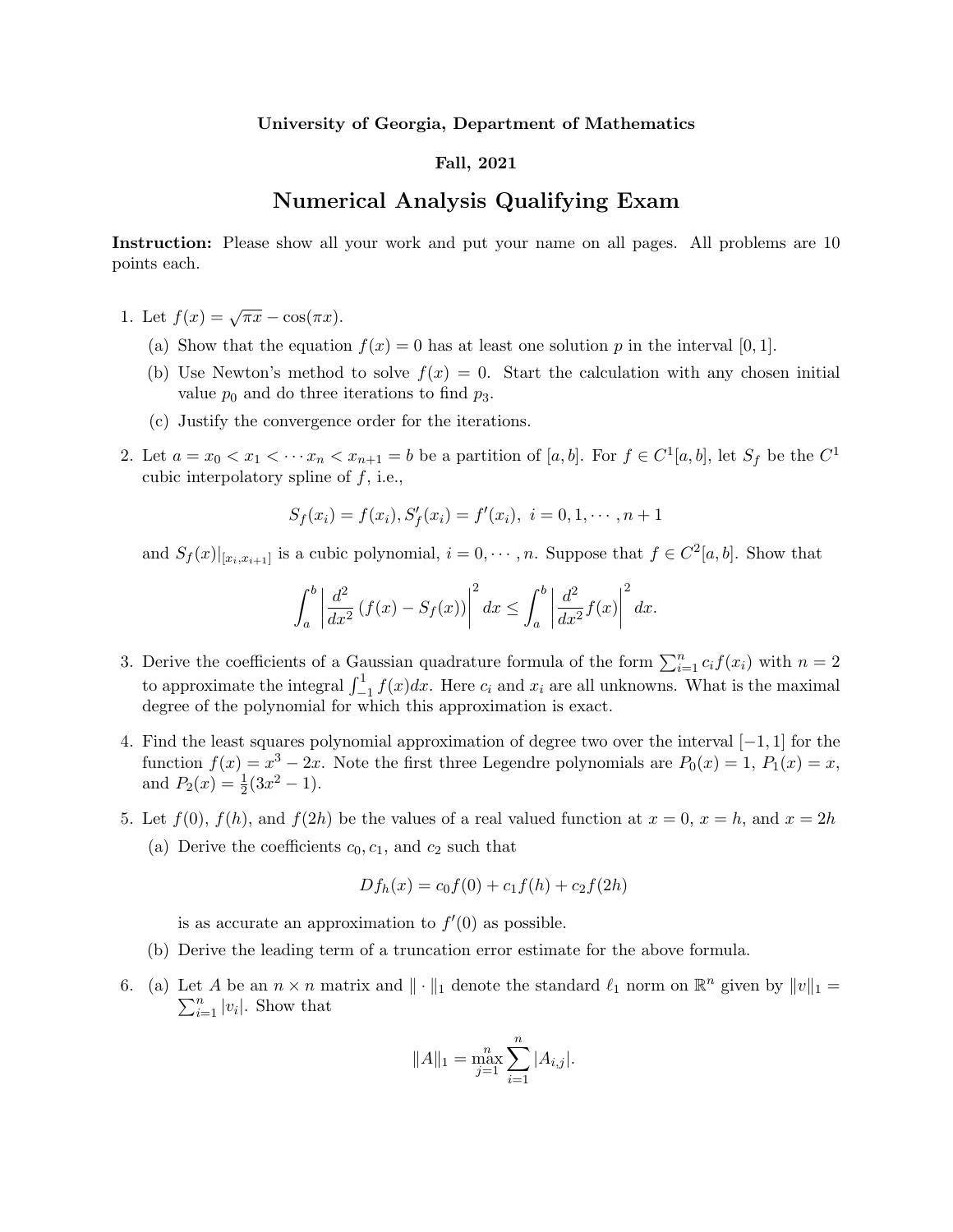## University of Georgia, Department of Mathematics

## Fall, 2021

## Numerical Analysis Qualifying Exam

Instruction: Please show all your work and put your name on all pages. All problems are 10 points each.

- 1. Let  $f(x) = \sqrt{\pi x} \cos(\pi x)$ .
	- (a) Show that the equation  $f(x) = 0$  has at least one solution p in the interval [0, 1].
	- (b) Use Newton's method to solve  $f(x) = 0$ . Start the calculation with any chosen initial value  $p_0$  and do three iterations to find  $p_3$ .
	- (c) Justify the convergence order for the iterations.
- 2. Let  $a = x_0 < x_1 < \cdots x_n < x_{n+1} = b$  be a partition of  $[a, b]$ . For  $f \in C^1[a, b]$ , let  $S_f$  be the  $C^1$ cubic interpolatory spline of  $f$ , i.e.,

$$
S_f(x_i) = f(x_i), S'_f(x_i) = f'(x_i), i = 0, 1, \cdots, n+1
$$

and  $S_f(x)|_{[x_i,x_{i+1}]}$  is a cubic polynomial,  $i=0,\dots,n$ . Suppose that  $f \in C^2[a,b]$ . Show that

$$
\int_a^b \left| \frac{d^2}{dx^2} \left( f(x) - S_f(x) \right) \right|^2 dx \le \int_a^b \left| \frac{d^2}{dx^2} f(x) \right|^2 dx.
$$

- 3. Derive the coefficients of a Gaussian quadrature formula of the form  $\sum_{i=1}^{n} c_i f(x_i)$  with  $n = 2$ to approximate the integral  $\int_{-1}^{1} f(x)dx$ . Here  $c_i$  and  $x_i$  are all unknowns. What is the maximal degree of the polynomial for which this approximation is exact.
- 4. Find the least squares polynomial approximation of degree two over the interval [−1, 1] for the function  $f(x) = x^3 - 2x$ . Note the first three Legendre polynomials are  $P_0(x) = 1$ ,  $P_1(x) = x$ , and  $P_2(x) = \frac{1}{2}(3x^2 - 1)$ .
- 5. Let  $f(0)$ ,  $f(h)$ , and  $f(2h)$  be the values of a real valued function at  $x = 0$ ,  $x = h$ , and  $x = 2h$ (a) Derive the coefficients  $c_0, c_1$ , and  $c_2$  such that

$$
Df_h(x) = c_0f(0) + c_1f(h) + c_2f(2h)
$$

is as accurate an approximation to  $f'(0)$  as possible.

- (b) Derive the leading term of a truncation error estimate for the above formula.
- 6. (a) Let A be an  $n \times n$  matrix and  $\|\cdot\|_1$  denote the standard  $\ell_1$  norm on  $\mathbb{R}^n$  given by  $\|v\|_1 =$  $\sum_{i=1}^{n} |v_i|$ . Show that

$$
||A||_1 = \max_{j=1}^n \sum_{i=1}^n |A_{i,j}|.
$$